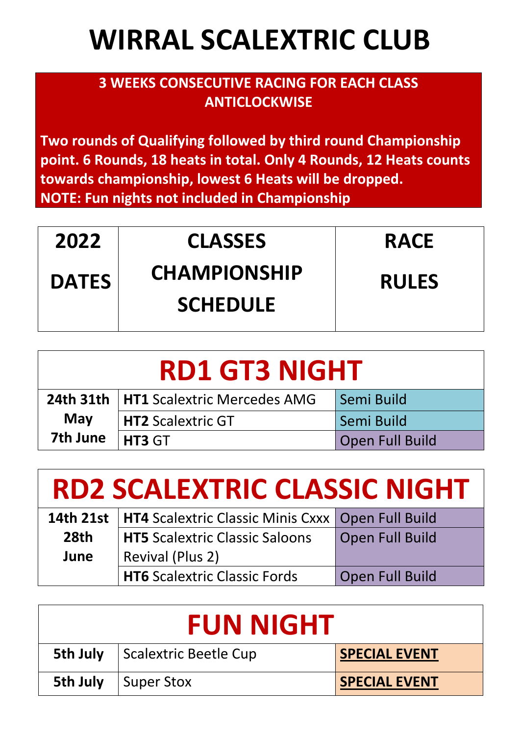## **WIRRAL SCALEXTRIC CLUB**

## **3 WEEKS CONSECUTIVE RACING FOR EACH CLASS ANTICLOCKWISE**

**Two rounds of Qualifying followed by third round Championship point. 6 Rounds, 18 heats in total. Only 4 Rounds, 12 Heats counts towards championship, lowest 6 Heats will be dropped. NOTE: Fun nights not included in Championship**

| 2022         | <b>CLASSES</b>                         | <b>RACE</b>  |
|--------------|----------------------------------------|--------------|
| <b>DATES</b> | <b>CHAMPIONSHIP</b><br><b>SCHEDULE</b> | <b>RULES</b> |

| <b>RD1 GT3 NIGHT</b> |                                                |                 |
|----------------------|------------------------------------------------|-----------------|
|                      | <b>24th 31th   HT1 Scalextric Mercedes AMG</b> | Semi Build      |
| May                  | HT2 Scalextric GT                              | Semi Build      |
| 7th June             | HT3 GT                                         | Open Full Build |

| <b>RD2 SCALEXTRIC CLASSIC NIGHT</b> |                                                                 |                 |  |
|-------------------------------------|-----------------------------------------------------------------|-----------------|--|
|                                     | 14th 21st   HT4 Scalextric Classic Minis Cxxx   Open Full Build |                 |  |
| 28th                                | <b>HT5</b> Scalextric Classic Saloons                           | Open Full Build |  |
| June                                | Revival (Plus 2)                                                |                 |  |
|                                     | <b>HT6 Scalextric Classic Fords</b>                             | Open Full Build |  |

| <b>FUN NIGHT</b> |                       |                      |
|------------------|-----------------------|----------------------|
| 5th July         | Scalextric Beetle Cup | <b>SPECIAL EVENT</b> |
| 5th July         | Super Stox            | <b>SPECIAL EVENT</b> |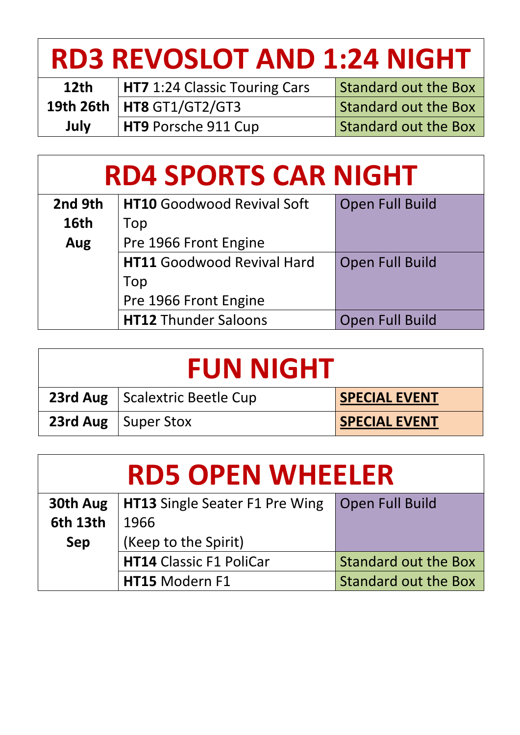| <b>RD3 REVOSLOT AND 1:24 NIGHT</b> |                                      |                             |
|------------------------------------|--------------------------------------|-----------------------------|
| 12 <sub>th</sub>                   | <b>HT7</b> 1:24 Classic Touring Cars | <b>Standard out the Box</b> |
|                                    | 19th 26th   HT8 GT1/GT2/GT3          | <b>Standard out the Box</b> |
| July                               | HT9 Porsche 911 Cup                  | <b>Standard out the Box</b> |

| <b>RD4 SPORTS CAR NIGHT</b> |                                   |                 |
|-----------------------------|-----------------------------------|-----------------|
| 2nd 9th                     | <b>HT10 Goodwood Revival Soft</b> | Open Full Build |
| <b>16th</b>                 | Top                               |                 |
| Aug                         | Pre 1966 Front Engine             |                 |
|                             | <b>HT11 Goodwood Revival Hard</b> | Open Full Build |
|                             | Top                               |                 |
|                             | Pre 1966 Front Engine             |                 |
|                             | <b>HT12 Thunder Saloons</b>       | Open Full Build |

| <b>FUN NIGHT</b> |                                         |                      |
|------------------|-----------------------------------------|----------------------|
|                  | <b>23rd Aug</b>   Scalextric Beetle Cup | <b>SPECIAL EVENT</b> |
|                  | <b>23rd Aug</b>   Super Stox            | <b>SPECIAL EVENT</b> |

| <b>RD5 OPEN WHEELER</b> |                                       |                             |
|-------------------------|---------------------------------------|-----------------------------|
| 30th Aug                | <b>HT13</b> Single Seater F1 Pre Wing | <b>Open Full Build</b>      |
| <b>6th 13th</b>         | 1966                                  |                             |
| <b>Sep</b>              | (Keep to the Spirit)                  |                             |
|                         | <b>HT14 Classic F1 PoliCar</b>        | <b>Standard out the Box</b> |
|                         | HT15 Modern F1                        | <b>Standard out the Box</b> |